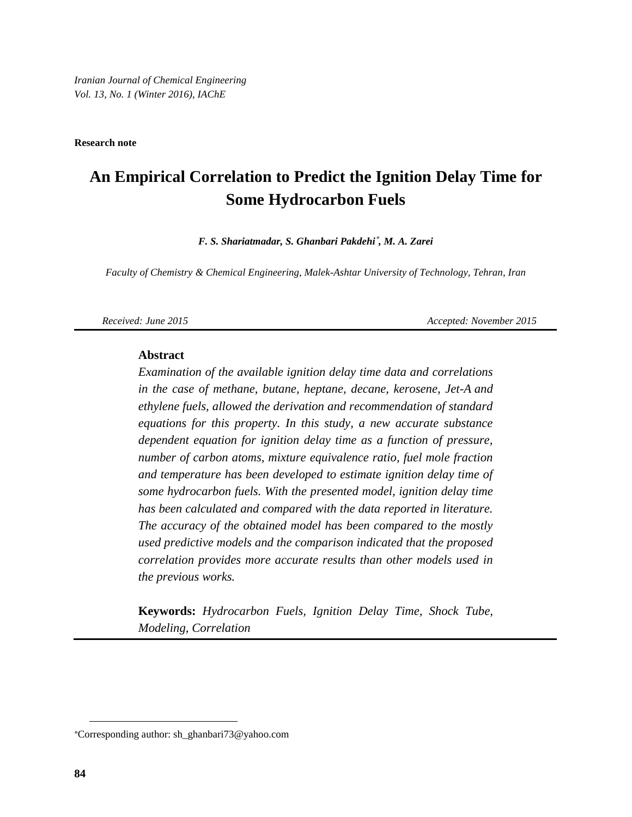*Iranian Journal of Chemical Engineering Vol. 13, No. 1 (Winter 2016), IAChE*

**Research note**

# **An Empirical Correlation to Predict the Ignition Delay Time for Some Hydrocarbon Fuels**

*F. S. Shariatmadar, S. Ghanbari Pakdehi***\*** *, M. A. Zarei*

*Faculty of Chemistry & Chemical Engineering, Malek-Ashtar University of Technology, Tehran, Iran*

*Received: June 2015 Accepted: November 2015* 

#### **Abstract**

*Examination of the available ignition delay time data and correlations in the case of methane, butane, heptane, decane, kerosene, Jet-A and ethylene fuels, allowed the derivation and recommendation of standard equations for this property. In this study, a new accurate substance dependent equation for ignition delay time as a function of pressure, number of carbon atoms, mixture equivalence ratio, fuel mole fraction and temperature has been developed to estimate ignition delay time of some hydrocarbon fuels. With the presented model, ignition delay time has been calculated and compared with the data reported in literature. The accuracy of the obtained model has been compared to the mostly used predictive models and the comparison indicated that the proposed correlation provides more accurate results than other models used in the previous works.*

**Keywords:** *Hydrocarbon Fuels, Ignition Delay Time, Shock Tube, Modeling, Correlation*

 $\overline{a}$ 

<sup>\*</sup>Corresponding author: sh\_ghanbari73@yahoo.com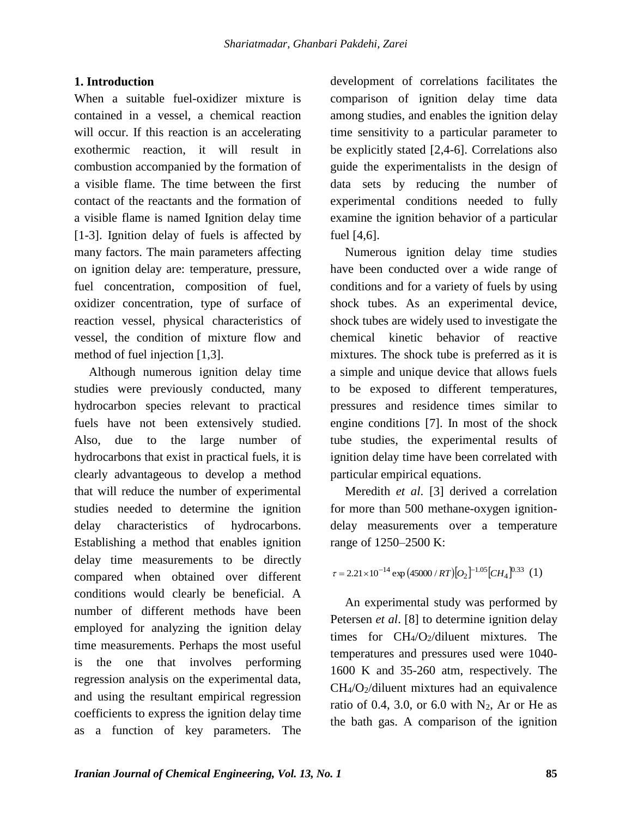# **1. Introduction**

When a suitable fuel-oxidizer mixture is contained in a vessel, a chemical reaction will occur. If this reaction is an accelerating exothermic reaction, it will result in combustion accompanied by the formation of a visible flame. The time between the first contact of the reactants and the formation of a visible flame is named Ignition delay time [1-3]. Ignition delay of fuels is affected by many factors. The main parameters affecting on ignition delay are: temperature, pressure, fuel concentration, composition of fuel, oxidizer concentration, type of surface of reaction vessel, physical characteristics of vessel, the condition of mixture flow and method of fuel injection [1,3].

Although numerous ignition delay time studies were previously conducted, many hydrocarbon species relevant to practical fuels have not been extensively studied. Also, due to the large number of hydrocarbons that exist in practical fuels, it is clearly advantageous to develop a method that will reduce the number of experimental studies needed to determine the ignition delay characteristics of hydrocarbons. Establishing a method that enables ignition delay time measurements to be directly compared when obtained over different conditions would clearly be beneficial. A number of different methods have been employed for analyzing the ignition delay time measurements. Perhaps the most useful is the one that involves performing regression analysis on the experimental data, and using the resultant empirical regression coefficients to express the ignition delay time as a function of key parameters. The

development of correlations facilitates the comparison of ignition delay time data among studies, and enables the ignition delay time sensitivity to a particular parameter to be explicitly stated [2,4-6]. Correlations also guide the experimentalists in the design of data sets by reducing the number of experimental conditions needed to fully examine the ignition behavior of a particular fuel [4,6].

Numerous ignition delay time studies have been conducted over a wide range of conditions and for a variety of fuels by using shock tubes. As an experimental device, shock tubes are widely used to investigate the chemical kinetic behavior of reactive mixtures. The shock tube is preferred as it is a simple and unique device that allows fuels to be exposed to different temperatures, pressures and residence times similar to engine conditions [7]. In most of the shock tube studies, the experimental results of ignition delay time have been correlated with particular empirical equations.

Meredith *et al*. [3] derived a correlation for more than 500 methane-oxygen ignitiondelay measurements over a temperature range of 1250–2500 K:

# $\tau = 2.21 \times 10^{-14}$  exp  $(45000 / RT)[O_2]^{-1.05}[CH_4]^{0.33}$  (1)

An experimental study was performed by Petersen *et al*. [8] to determine ignition delay times for  $CH_4/O_2/diluent$  mixtures. The temperatures and pressures used were 1040- 1600 K and 35-260 atm, respectively. The  $CH<sub>4</sub>/O<sub>2</sub>/diluent mixtures had an equivalence$ ratio of 0.4, 3.0, or 6.0 with  $N_2$ , Ar or He as the bath gas. A comparison of the ignition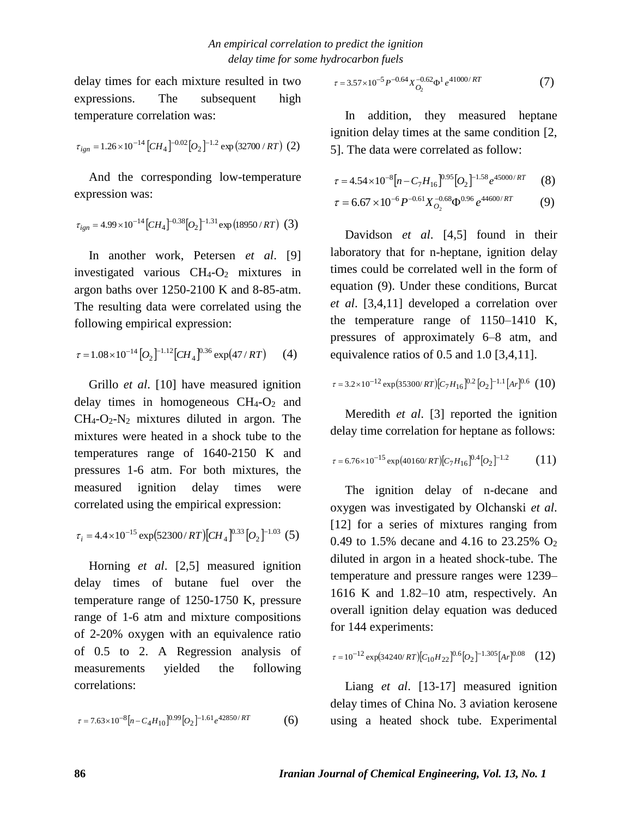delay times for each mixture resulted in two expressions. The subsequent high temperature correlation was:

$$
\tau_{ign}=1.26\times10^{-14}\left[CH_4\right]^{-0.02}\left[O_2\right]^{-1.2}\exp\left(32700\,/\,RT\right)\,\,(2)
$$

And the corresponding low-temperature expression was:

$$
\tau_{ign} = 4.99 \times 10^{-14} \left[ CH_4 \right]^{-0.38} [O_2]^{-1.31} \exp(18950/RT)
$$
 (3)

In another work, Petersen *et al*. [9] investigated various CH4-O<sup>2</sup> mixtures in argon baths over 1250-2100 K and 8-85-atm. The resulting data were correlated using the following empirical expression:

$$
\tau = 1.08 \times 10^{-14} \left[ O_2 \right]^{-1.12} \left[ CH_4 \right]^{0.36} \exp(47/RT) \tag{4}
$$

Grillo *et al*. [10] have measured ignition delay times in homogeneous  $CH<sub>4</sub>-O<sub>2</sub>$  and  $CH_4-O_2-N_2$  mixtures diluted in argon. The mixtures were heated in a shock tube to the temperatures range of 1640-2150 K and pressures 1-6 atm. For both mixtures, the measured ignition delay times were correlated using the empirical expression:

$$
\tau_i = 4.4 \times 10^{-15} \exp(52300/RT) [CH_4]^{0.33} [O_2]^{-1.03} (5)
$$

Horning *et al*. [2,5] measured ignition delay times of butane fuel over the temperature range of 1250-1750 K, pressure range of 1-6 atm and mixture compositions of 2-20% oxygen with an equivalence ratio of 0.5 to 2. A Regression analysis of measurements yielded the following correlations:

$$
\tau = 7.63 \times 10^{-8} \left[ n - C_4 H_{10} \right]^{0.99} \left[ O_2 \right]^{-1.61} e^{42850/RT} \tag{6}
$$

$$
\tau = 3.57 \times 10^{-5} P^{-0.64} X_{O_2}^{-0.62} \Phi^1 e^{41000/RT}
$$
 (7)

In addition, they measured heptane ignition delay times at the same condition [2, 5]. The data were correlated as follow:

$$
\tau = 4.54 \times 10^{-8} \left[ n - C_7 H_{16} \right]^{0.95} \left[ O_2 \right]^{-1.58} e^{45000/RT} \tag{8}
$$

$$
\tau = 6.67 \times 10^{-6} P^{-0.61} X_{O_2}^{-0.68} \Phi^{0.96} e^{44600/RT}
$$
 (9)

Davidson *et al*. [4,5] found in their laboratory that for n-heptane, ignition delay times could be correlated well in the form of equation (9). Under these conditions, Burcat *et al*. [3,4,11] developed a correlation over the temperature range of 1150–1410 K, pressures of approximately 6–8 atm, and equivalence ratios of 0.5 and 1.0 [3,4,11].

$$
\tau = 3.2 \times 10^{-12} \exp(35300/RT) [C_7 H_{16}]^{0.2} [O_2]^{-1.1} [Ar]^{0.6} (10)
$$

Meredith *et al*. [3] reported the ignition delay time correlation for heptane as follows:

$$
\tau = 6.76 \times 10^{-15} \exp(40160/RT) [C_7 H_{16}]^{0.4} [O_2]^{-1.2}
$$
 (11)

The ignition delay of n-decane and oxygen was investigated by Olchanski *et al*. [12] for a series of mixtures ranging from 0.49 to 1.5% decane and 4.16 to 23.25% O<sup>2</sup> diluted in argon in a heated shock-tube. The temperature and pressure ranges were 1239– 1616 K and 1.82–10 atm, respectively. An overall ignition delay equation was deduced for 144 experiments:

$$
\tau = 10^{-12} \exp(34240/RT) [C_{10}H_{22}]^{0.6} [O_2]^{-1.305} [Ar]^{0.08} \quad (12)
$$

Liang *et al*. [13-17] measured ignition delay times of China No. 3 aviation kerosene using a heated shock tube. Experimental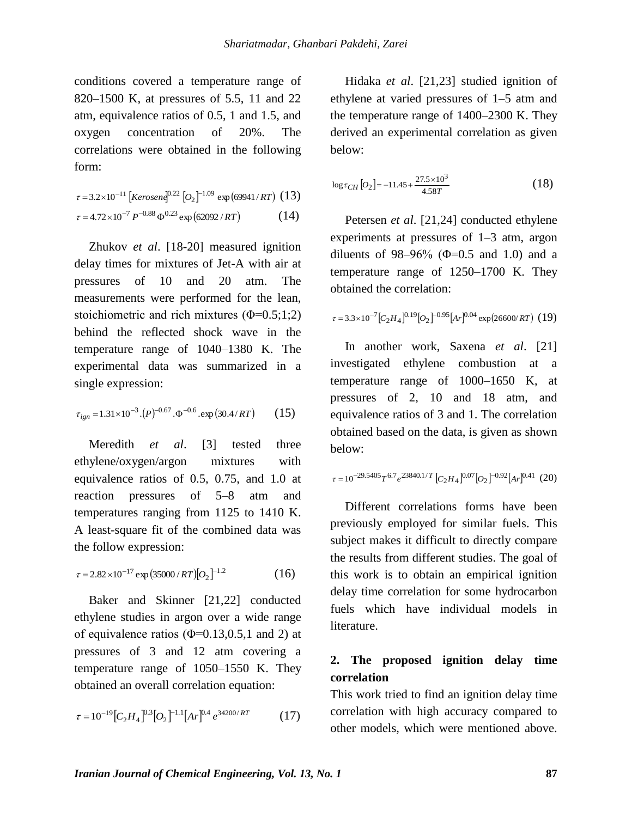conditions covered a temperature range of 820–1500 K, at pressures of 5.5, 11 and 22 atm, equivalence ratios of 0.5, 1 and 1.5, and oxygen concentration of 20%. The correlations were obtained in the following form:

$$
\tau = 3.2 \times 10^{-11} \left[ \text{Keros} \, \text{Rg} \right]^{0.22} \left[ O_2 \right]^{-1.09} \, \text{exp} \left( 69941 / \text{RT} \right) \tag{13}
$$
\n
$$
\tau = 4.72 \times 10^{-7} \, P^{-0.88} \, \Phi^{0.23} \, \text{exp} \left( 62092 / \text{RT} \right) \tag{14}
$$

Zhukov *et al*. [18-20] measured ignition delay times for mixtures of Jet-A with air at pressures of 10 and 20 atm. The measurements were performed for the lean, stoichiometric and rich mixtures  $(\Phi=0.5;1;2)$ behind the reflected shock wave in the temperature range of 1040–1380 K. The experimental data was summarized in a single expression:

$$
\tau_{ign} = 1.31 \times 10^{-3} \cdot (P)^{-0.67} \cdot \Phi^{-0.6} \cdot \exp(30.4/RT) \tag{15}
$$

Meredith *et al*. [3] tested three ethylene/oxygen/argon mixtures with equivalence ratios of 0.5, 0.75, and 1.0 at reaction pressures of 5–8 atm and temperatures ranging from 1125 to 1410 K. A least-square fit of the combined data was the follow expression:

$$
\tau = 2.82 \times 10^{-17} \exp(35000/RT)[Q_2]^{-1.2} \tag{16}
$$

Baker and Skinner [21,22] conducted ethylene studies in argon over a wide range of equivalence ratios ( $\Phi$ =0.13,0.5,1 and 2) at pressures of 3 and 12 atm covering a temperature range of 1050–1550 K. They obtained an overall correlation equation:

$$
\tau = 10^{-19} \left[ C_2 H_4 \right]^{0.3} \left[ O_2 \right]^{-1.1} \left[ Ar \right]^{0.4} e^{34200/RT} \tag{17}
$$

Hidaka *et al*. [21,23] studied ignition of ethylene at varied pressures of 1–5 atm and the temperature range of 1400–2300 K. They derived an experimental correlation as given below:

$$
\log \tau_{CH} [O_2] = -11.45 + \frac{27.5 \times 10^3}{4.58T}
$$
 (18)

Petersen *et al*. [21,24] conducted ethylene experiments at pressures of 1–3 atm, argon diluents of 98–96% ( $\Phi$ =0.5 and 1.0) and a temperature range of 1250–1700 K. They obtained the correlation:

$$
\tau = 3.3 \times 10^{-7} \left[ C_2 H_4 \right]^{0.19} \left[ O_2 \right]^{-0.95} \left[ Ar \right]^{0.04} \exp(26600/RT) \tag{19}
$$

In another work, Saxena *et al*. [21] investigated ethylene combustion at a temperature range of 1000–1650 K, at pressures of 2, 10 and 18 atm, and equivalence ratios of 3 and 1. The correlation obtained based on the data, is given as shown below:

$$
\tau = 10^{-29.5405} T^{6.7} e^{23840.1/T} \left[ C_2 H_4 \right]^{0.07} \left[ O_2 \right]^{-0.92} \left[ Ar \right]^{0.41} (20)
$$

Different correlations forms have been previously employed for similar fuels. This subject makes it difficult to directly compare the results from different studies. The goal of this work is to obtain an empirical ignition delay time correlation for some hydrocarbon fuels which have individual models in literature.

# **2. The proposed ignition delay time correlation**

This work tried to find an ignition delay time correlation with high accuracy compared to other models, which were mentioned above.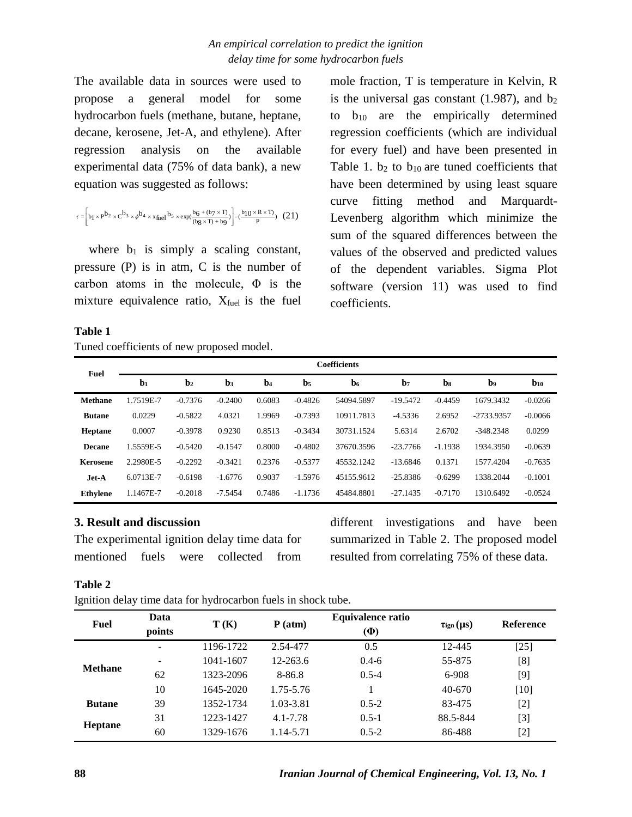The available data in sources were used to propose a general model for some hydrocarbon fuels (methane, butane, heptane, decane, kerosene, Jet-A, and ethylene). After regression analysis on the available experimental data (75% of data bank), a new equation was suggested as follows:

$$
\tau=\!\!\left[b_1\!\times\!p^{b_2}\!\times\!c^{b_3}\!\times\!\phi^{b_4}\!\times\!x_{\,
$$
}b\_{\,5}\!\times\!{\exp}(\frac{b\_6+(b\_7\!\times\!T)}{(b\_8\!\times\!T)+b\_9})\right]\cdot\!(\frac{b\_10\!\times\!R\times\!T)}{P}\quad (21)

where  $b_1$  is simply a scaling constant, pressure (P) is in atm, C is the number of carbon atoms in the molecule, Φ is the mixture equivalence ratio, X<sub>fuel</sub> is the fuel

**Table 1**

Tuned coefficients of new proposed model.

mole fraction, T is temperature in Kelvin, R is the universal gas constant  $(1.987)$ , and  $b<sub>2</sub>$ to  $b_{10}$  are the empirically determined regression coefficients (which are individual for every fuel) and have been presented in Table 1.  $b_2$  to  $b_{10}$  are tuned coefficients that have been determined by using least square curve fitting method and Marquardt-Levenberg algorithm which minimize the sum of the squared differences between the values of the observed and predicted values of the dependent variables. Sigma Plot software (version 11) was used to find coefficients.

| <b>Fuel</b>     |           |                |                |        |                | <b>Coefficients</b> |              |           |                |           |
|-----------------|-----------|----------------|----------------|--------|----------------|---------------------|--------------|-----------|----------------|-----------|
|                 | $b1$      | $\mathbf{b}_2$ | $\mathbf{b}_3$ | $b4$   | $\mathbf{b}_5$ | $\mathbf{b}$        | $\mathbf{b}$ | bs        | b <sub>9</sub> | $b_{10}$  |
| <b>Methane</b>  | 1.7519E-7 | $-0.7376$      | $-0.2400$      | 0.6083 | $-0.4826$      | 54094.5897          | $-19.5472$   | $-0.4459$ | 1679.3432      | $-0.0266$ |
| <b>Butane</b>   | 0.0229    | $-0.5822$      | 4.0321         | 1.9969 | $-0.7393$      | 10911.7813          | $-4.5336$    | 2.6952    | $-2733.9357$   | $-0.0066$ |
| Heptane         | 0.0007    | $-0.3978$      | 0.9230         | 0.8513 | $-0.3434$      | 30731.1524          | 5.6314       | 2.6702    | $-348.2348$    | 0.0299    |
| <b>Decane</b>   | 1.5559E-5 | $-0.5420$      | $-0.1547$      | 0.8000 | $-0.4802$      | 37670.3596          | $-23.7766$   | $-1.1938$ | 1934.3950      | $-0.0639$ |
| Kerosene        | 2.2980E-5 | $-0.2292$      | $-0.3421$      | 0.2376 | $-0.5377$      | 45532.1242          | $-13.6846$   | 0.1371    | 1577.4204      | $-0.7635$ |
| $Jet-A$         | 6.0713E-7 | $-0.6198$      | $-1.6776$      | 0.9037 | $-1.5976$      | 45155.9612          | $-25.8386$   | $-0.6299$ | 1338.2044      | $-0.1001$ |
| <b>Ethylene</b> | 1.1467E-7 | $-0.2018$      | $-7.5454$      | 0.7486 | $-1.1736$      | 45484.8801          | $-27.1435$   | $-0.7170$ | 1310.6492      | $-0.0524$ |

#### **3. Result and discussion**

The experimental ignition delay time data for mentioned fuels were collected from

different investigations and have been summarized in Table 2. The proposed model resulted from correlating 75% of these data.

#### **Table 2**

Ignition delay time data for hydrocarbon fuels in shock tube.

| <b>Fuel</b>    | Data<br>points           | T(K)      | P(atm)       | <b>Equivalence ratio</b><br>$(\Phi)$ | $\tau_{\rm ign}(\mu s)$ | <b>Reference</b> |
|----------------|--------------------------|-----------|--------------|--------------------------------------|-------------------------|------------------|
|                |                          | 1196-1722 | 2.54-477     | 0.5                                  | 12-445                  | [25]             |
|                | $\overline{\phantom{0}}$ | 1041-1607 | $12 - 263.6$ | $0.4 - 6$                            | 55-875                  | [8]              |
| <b>Methane</b> | 62                       | 1323-2096 | 8-86.8       | $0.5 - 4$                            | 6-908                   | $[9]$            |
|                | 10                       | 1645-2020 | 1.75-5.76    |                                      | 40-670                  | $[10]$           |
| <b>Butane</b>  | 39                       | 1352-1734 | 1.03-3.81    | $0.5 - 2$                            | 83-475                  | $[2]$            |
| Heptane        | 31                       | 1223-1427 | 4.1-7.78     | $0.5 - 1$                            | 88.5-844                | $[3]$            |
|                | 60                       | 1329-1676 | 1.14-5.71    | $0.5 - 2$                            | 86-488                  | $[2]$            |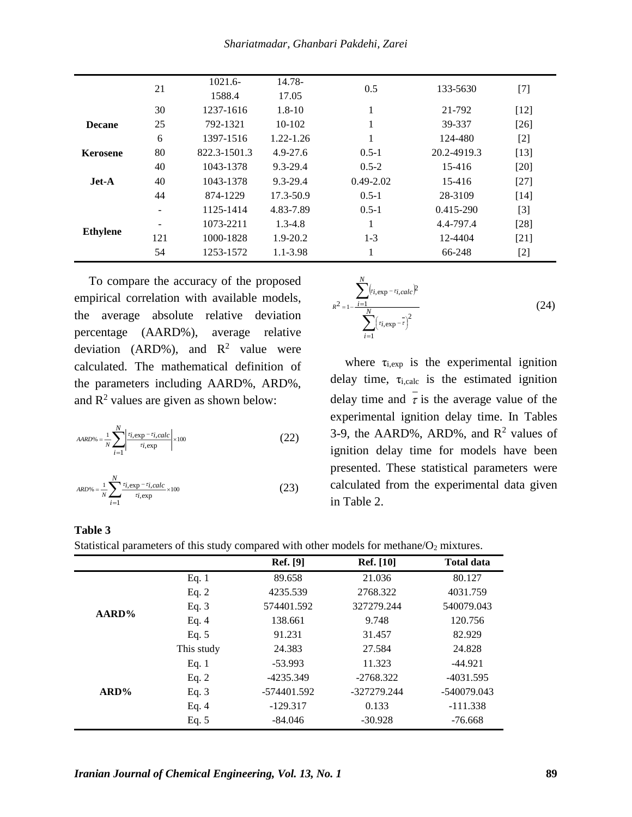|                 | 21                       | $1021.6-$    | 14.78-        | 0.5           | 133-5630    | $[7]$  |
|-----------------|--------------------------|--------------|---------------|---------------|-------------|--------|
|                 |                          | 1588.4       | 17.05         |               |             |        |
|                 | 30                       | 1237-1616    | $1.8 - 10$    | 1             | 21-792      | $[12]$ |
| <b>Decane</b>   | 25                       | 792-1321     | 10-102        | 1             | 39-337      | $[26]$ |
|                 | 6                        | 1397-1516    | $1.22 - 1.26$ | 1             | 124-480     | $[2]$  |
| <b>Kerosene</b> | 80                       | 822.3-1501.3 | $4.9 - 27.6$  | $0.5 - 1$     | 20.2-4919.3 | $[13]$ |
|                 | 40                       | 1043-1378    | $9.3 - 29.4$  | $0.5 - 2$     | 15-416      | $[20]$ |
| $Jet-A$         | 40                       | 1043-1378    | $9.3 - 29.4$  | $0.49 - 2.02$ | 15-416      | $[27]$ |
|                 | 44                       | 874-1229     | 17.3-50.9     | $0.5 - 1$     | 28-3109     | $[14]$ |
|                 | $\overline{\phantom{m}}$ | 1125-1414    | 4.83-7.89     | $0.5 - 1$     | 0.415-290   | $[3]$  |
|                 |                          | 1073-2211    | $1.3 - 4.8$   | 1             | 4.4-797.4   | $[28]$ |
| <b>Ethylene</b> | 121                      | 1000-1828    | $1.9 - 20.2$  | $1-3$         | 12-4404     | $[21]$ |
|                 | 54                       | 1253-1572    | $1.1 - 3.98$  |               | 66-248      | $[2]$  |

To compare the accuracy of the proposed empirical correlation with available models, the average absolute relative deviation percentage (AARD%), average relative deviation (ARD%), and  $R^2$  value were calculated. The mathematical definition of the parameters including AARD%, ARD%, and  $R^2$  values are given as shown below:

$$
AARD\% = \frac{1}{N} \sum_{i=1}^{N} \left| \frac{\tau_{i,\exp} - \tau_{i,\text{calc}}}{\tau_{i,\exp}} \right| \times 100
$$
 (22)

$$
ARD\% = \frac{1}{N} \sum_{i=1}^{N} \frac{\tau_{i,\exp} - \tau_{i,calc}}{\tau_{i,\exp}} \times 100
$$
 (23)

$$
R^{2} = 1 - \frac{\sum_{i=1}^{N} (\tau_{i,\exp} - \tau_{i,calc})^{2}}{\sum_{i=1}^{N} (\tau_{i,\exp} - \tau)^{2}}
$$
(24)

where  $\tau_{i,exp}$  is the experimental ignition delay time,  $\tau_{i,calc}$  is the estimated ignition delay time and  $\tau$  is the average value of the experimental ignition delay time. In Tables 3-9, the AARD%, ARD%, and  $R^2$  values of ignition delay time for models have been presented. These statistical parameters were calculated from the experimental data given in Table 2.

|         |            | <b>Ref.</b> [9] | <b>Ref.</b> [10] | <b>Total data</b> |
|---------|------------|-----------------|------------------|-------------------|
|         | Eq. $1$    | 89.658          | 21.036           | 80.127            |
|         | Eq. $2$    | 4235.539        | 2768.322         | 4031.759          |
| AARD%   | Eq. $3$    | 574401.592      | 327279.244       | 540079.043        |
|         | Eq. $4$    | 138.661         | 9.748            | 120.756           |
|         | Eq. $5$    | 91.231          | 31.457           | 82.929            |
|         | This study | 24.383          | 27.584           | 24.828            |
|         | Eq. $1$    | $-53.993$       | 11.323           | $-44.921$         |
|         | Eq. $2$    | -4235.349       | $-2768.322$      | $-4031.595$       |
| $ARD\%$ | Eq. $3$    | -574401.592     | -327279.244      | -540079.043       |
|         | Eq. $4$    | $-129.317$      | 0.133            | $-111.338$        |
|         | Eq. $5$    | $-84.046$       | $-30.928$        | $-76.668$         |

#### **Table 3**

Statistical parameters of this study compared with other models for methane/ $O<sub>2</sub>$  mixtures.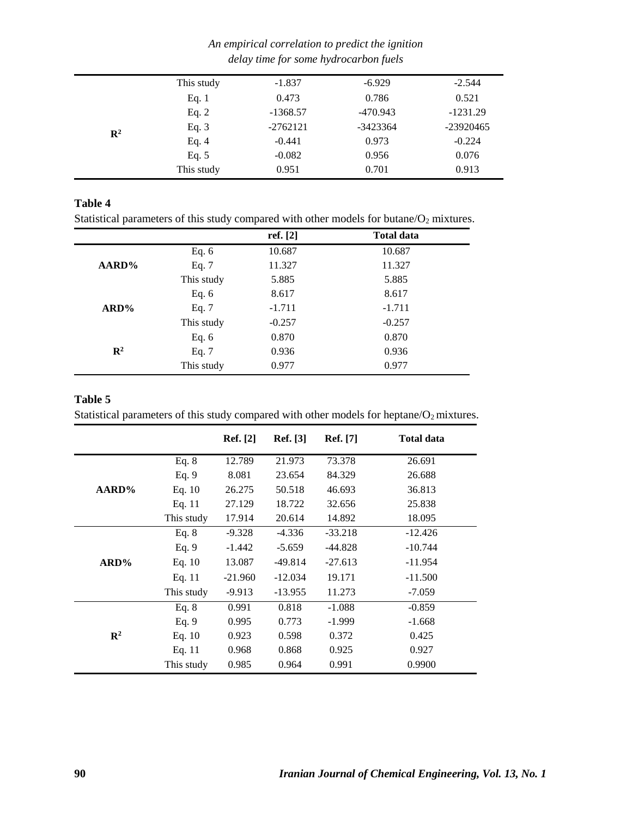|                | This study | $-1.837$   | $-6.929$   | $-2.544$   |
|----------------|------------|------------|------------|------------|
|                | Eq. $1$    | 0.473      | 0.786      | 0.521      |
|                | Eq. $2$    | $-1368.57$ | $-470.943$ | $-1231.29$ |
| $\mathbb{R}^2$ | Eq. $3$    | $-2762121$ | $-3423364$ | -23920465  |
|                | Eq. $4$    | $-0.441$   | 0.973      | $-0.224$   |
|                | Eq. $5$    | $-0.082$   | 0.956      | 0.076      |
|                | This study | 0.951      | 0.701      | 0.913      |
|                |            |            |            |            |

# *An empirical correlation to predict the ignition delay time for some hydrocarbon fuels*

### **Table 4**

Statistical parameters of this study compared with other models for butane/O<sub>2</sub> mixtures.

|                |            | ref. $[2]$ | <b>Total data</b> |
|----------------|------------|------------|-------------------|
|                | Eq. $6$    | 10.687     | 10.687            |
| AARD%          | Eq. 7      | 11.327     | 11.327            |
|                | This study | 5.885      | 5.885             |
|                | Eq. $6$    | 8.617      | 8.617             |
| $ARD\%$        | Eq. 7      | $-1.711$   | $-1.711$          |
|                | This study | $-0.257$   | $-0.257$          |
|                | Eq. $6$    | 0.870      | 0.870             |
| $\mathbb{R}^2$ | Eq. 7      | 0.936      | 0.936             |
|                | This study | 0.977      | 0.977             |

## **Table 5**

Statistical parameters of this study compared with other models for heptane/ $O_2$  mixtures.

|                |            | <b>Ref.</b> [2] | <b>Ref.</b> [3] | <b>Ref.</b> [7] | <b>Total data</b> |
|----------------|------------|-----------------|-----------------|-----------------|-------------------|
|                | Eq. $8$    | 12.789          | 21.973          | 73.378          | 26.691            |
|                | Eq. 9      | 8.081           | 23.654          | 84.329          | 26.688            |
| AARD%          | Eq. $10$   | 26.275          | 50.518          | 46.693          | 36.813            |
|                | Eq. 11     | 27.129          | 18.722          | 32.656          | 25.838            |
|                | This study | 17.914          | 20.614          | 14.892          | 18.095            |
|                | Eq. $8$    | $-9.328$        | $-4.336$        | $-33.218$       | $-12.426$         |
|                | Eq. 9      | $-1.442$        | $-5.659$        | $-44.828$       | $-10.744$         |
| $ARD\%$        | Eq. $10$   | 13.087          | $-49.814$       | $-27.613$       | $-11.954$         |
|                | Eq. 11     | $-21.960$       | $-12.034$       | 19.171          | $-11.500$         |
|                | This study | $-9.913$        | $-13.955$       | 11.273          | $-7.059$          |
|                | Eq. $8$    | 0.991           | 0.818           | $-1.088$        | $-0.859$          |
|                | Eq. 9      | 0.995           | 0.773           | -1.999          | $-1.668$          |
| $\mathbb{R}^2$ | Eq. $10$   | 0.923           | 0.598           | 0.372           | 0.425             |
|                | Eq. 11     | 0.968           | 0.868           | 0.925           | 0.927             |
|                | This study | 0.985           | 0.964           | 0.991           | 0.9900            |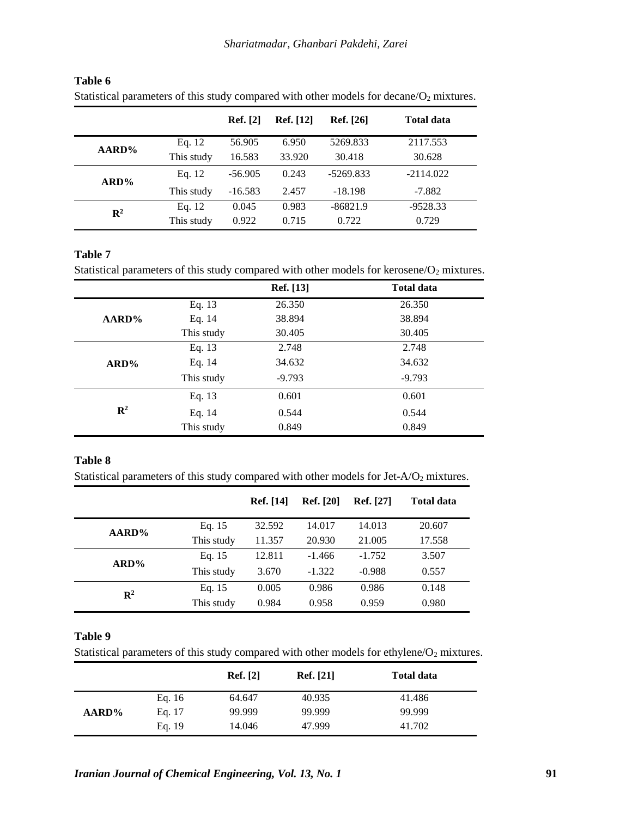|                |            | <b>Ref.</b> [2] | <b>Ref.</b> [12] | <b>Ref.</b> [26] | <b>Total data</b> |
|----------------|------------|-----------------|------------------|------------------|-------------------|
| AARD%          | Eq. 12     | 56.905          | 6.950            | 5269.833         | 2117.553          |
|                | This study | 16.583          | 33.920           | 30.418           | 30.628            |
| $ARD\%$        | Eq. 12     | $-56.905$       | 0.243            | $-5269.833$      | $-2114.022$       |
|                | This study | $-16.583$       | 2.457            | $-18.198$        | $-7.882$          |
| $\mathbf{R}^2$ | Eq. 12     | 0.045           | 0.983            | $-86821.9$       | $-9528.33$        |
|                | This study | 0.922           | 0.715            | 0.722            | 0.729             |

### **Table 6**

Statistical parameters of this study compared with other models for decane/ $O_2$  mixtures.

#### **Table 7**

Statistical parameters of this study compared with other models for kerosene/ $O_2$  mixtures.

|                |            | <b>Ref.</b> [13] | <b>Total data</b> |
|----------------|------------|------------------|-------------------|
|                | Eq. 13     | 26.350           | 26.350            |
| AARD%          | Eq. 14     | 38.894           | 38.894            |
|                | This study | 30.405           | 30.405            |
|                | Eq. 13     | 2.748            | 2.748             |
| $ARD\%$        | Eq. 14     | 34.632           | 34.632            |
|                | This study | $-9.793$         | $-9.793$          |
|                | Eq. 13     | 0.601            | 0.601             |
| $\mathbb{R}^2$ | Eq. 14     | 0.544            | 0.544             |
|                | This study | 0.849            | 0.849             |

#### **Table 8**

Statistical parameters of this study compared with other models for Jet-A/O<sub>2</sub> mixtures.

|                |            | Ref. [14] | <b>Ref.</b> [20] | <b>Ref.</b> [27] | <b>Total data</b> |
|----------------|------------|-----------|------------------|------------------|-------------------|
| AARD%          | Eq. 15     | 32.592    | 14.017           | 14.013           | 20.607            |
|                | This study | 11.357    | 20.930           | 21.005           | 17.558            |
| $ARD\%$        | Eq. 15     | 12.811    | $-1.466$         | $-1.752$         | 3.507             |
|                | This study | 3.670     | $-1.322$         | $-0.988$         | 0.557             |
| $\mathbf{R}^2$ | Eq. 15     | 0.005     | 0.986            | 0.986            | 0.148             |
|                | This study | 0.984     | 0.958            | 0.959            | 0.980             |

## **Table 9**

Statistical parameters of this study compared with other models for ethylene/ $O_2$  mixtures.

|       |        | <b>Ref.</b> [2] | <b>Ref.</b> [21] | Total data |
|-------|--------|-----------------|------------------|------------|
|       | Eq. 16 | 64.647          | 40.935           | 41.486     |
| AARD% | Eq. 17 | 99.999          | 99.999           | 99.999     |
|       | Eg. 19 | 14.046          | 47.999           | 41.702     |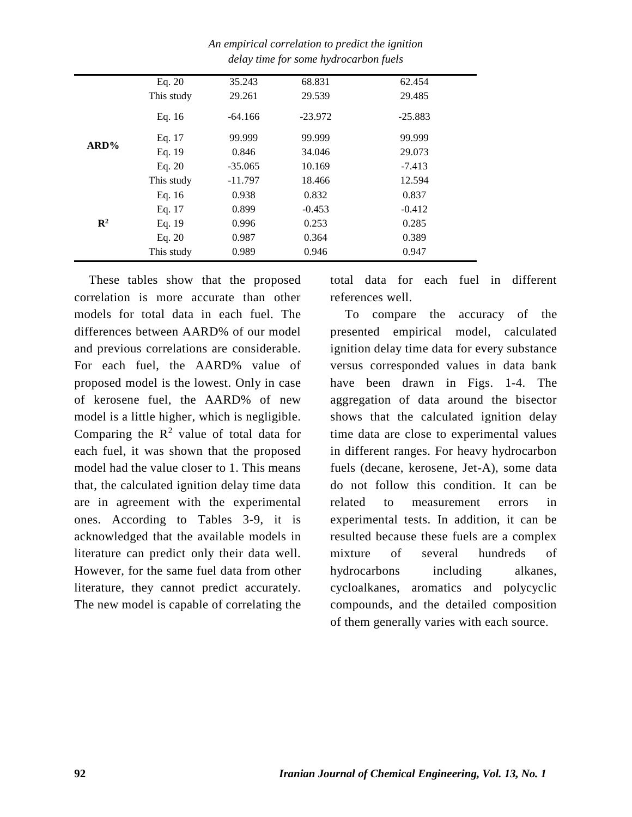|                | Eq. 20     | 35.243    | 68.831    | 62.454    |
|----------------|------------|-----------|-----------|-----------|
| $ARD\%$        | This study | 29.261    | 29.539    | 29.485    |
|                | Eq. 16     | $-64.166$ | $-23.972$ | $-25.883$ |
|                | Eq. 17     | 99.999    | 99.999    | 99.999    |
|                | Eq. 19     | 0.846     | 34.046    | 29.073    |
|                | Eq. $20$   | $-35.065$ | 10.169    | $-7.413$  |
|                | This study | $-11.797$ | 18.466    | 12.594    |
| $\mathbb{R}^2$ | Eq. 16     | 0.938     | 0.832     | 0.837     |
|                | Eq. 17     | 0.899     | $-0.453$  | $-0.412$  |
|                | Eq. 19     | 0.996     | 0.253     | 0.285     |
|                | Eq. $20$   | 0.987     | 0.364     | 0.389     |
|                | This study | 0.989     | 0.946     | 0.947     |

*An empirical correlation to predict the ignition delay time for some hydrocarbon fuels*

These tables show that the proposed correlation is more accurate than other models for total data in each fuel. The differences between AARD% of our model and previous correlations are considerable. For each fuel, the AARD% value of proposed model is the lowest. Only in case of kerosene fuel, the AARD% of new model is a little higher, which is negligible. Comparing the  $R^2$  value of total data for each fuel, it was shown that the proposed model had the value closer to 1. This means that, the calculated ignition delay time data are in agreement with the experimental ones. According to Tables 3-9, it is acknowledged that the available models in literature can predict only their data well. However, for the same fuel data from other literature, they cannot predict accurately. The new model is capable of correlating the

total data for each fuel in different references well.

To compare the accuracy of the presented empirical model, calculated ignition delay time data for every substance versus corresponded values in data bank have been drawn in Figs. 1-4. The aggregation of data around the bisector shows that the calculated ignition delay time data are close to experimental values in different ranges. For heavy hydrocarbon fuels (decane, kerosene, Jet-A), some data do not follow this condition. It can be related to measurement errors in experimental tests. In addition, it can be resulted because these fuels are a complex mixture of several hundreds of hydrocarbons including alkanes, cycloalkanes, aromatics and polycyclic compounds, and the detailed composition of them generally varies with each source.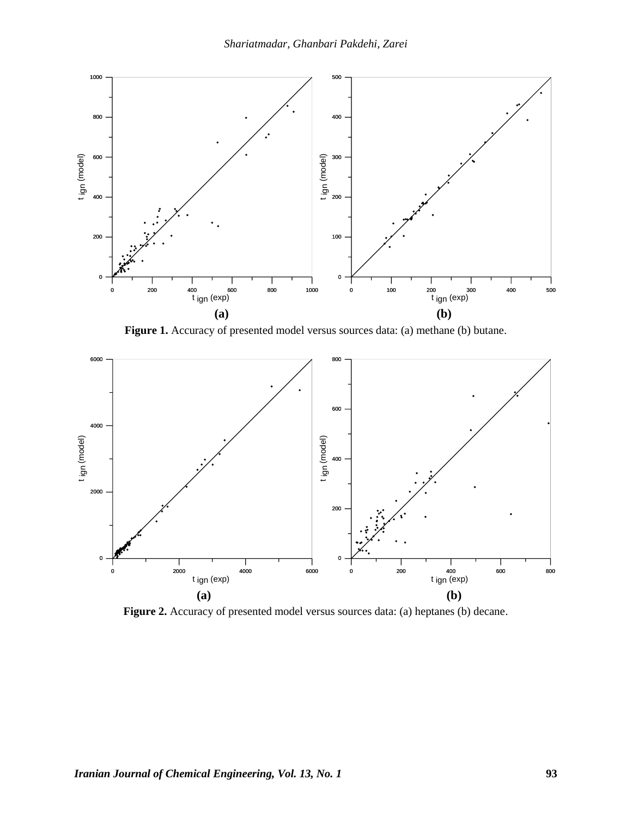

**Figure 1.** Accuracy of presented model versus sources data: (a) methane (b) butane.



**Figure 2.** Accuracy of presented model versus sources data: (a) heptanes (b) decane.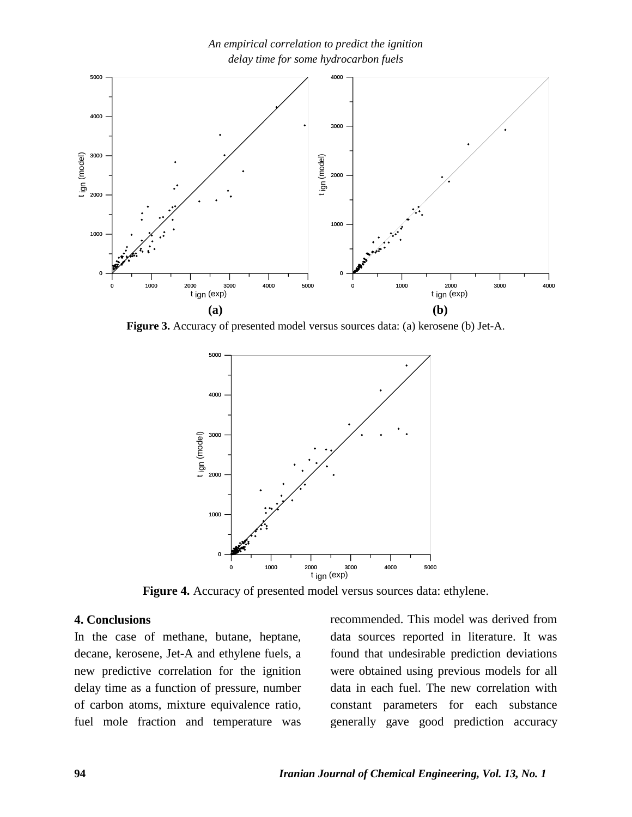*An empirical correlation to predict the ignition delay time for some hydrocarbon fuels*



**Figure 3.** Accuracy of presented model versus sources data: (a) kerosene (b) Jet-A.



**Figure 4.** Accuracy of presented model versus sources data: ethylene.

#### **4. Conclusions**

In the case of methane, butane, heptane, decane, kerosene, Jet-A and ethylene fuels, a new predictive correlation for the ignition delay time as a function of pressure, number of carbon atoms, mixture equivalence ratio*,* fuel mole fraction and temperature was recommended. This model was derived from data sources reported in literature. It was found that undesirable prediction deviations were obtained using previous models for all data in each fuel. The new correlation with constant parameters for each substance generally gave good prediction accuracy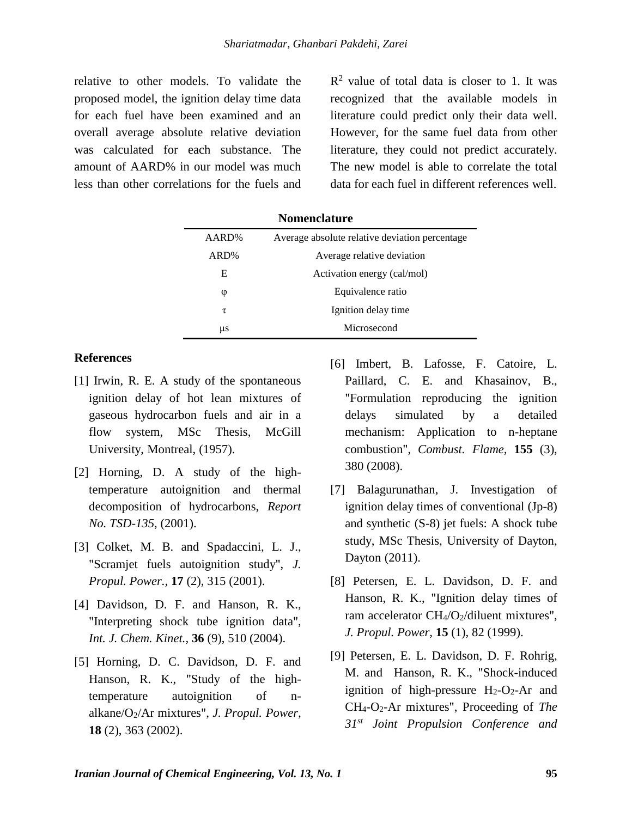relative to other models. To validate the proposed model, the ignition delay time data for each fuel have been examined and an overall average absolute relative deviation was calculated for each substance. The amount of AARD% in our model was much less than other correlations for the fuels and

 $R<sup>2</sup>$  value of total data is closer to 1. It was recognized that the available models in literature could predict only their data well. However, for the same fuel data from other literature, they could not predict accurately. The new model is able to correlate the total data for each fuel in different references well.

| <b>Nomenclature</b> |                                                |  |  |
|---------------------|------------------------------------------------|--|--|
| AARD%               | Average absolute relative deviation percentage |  |  |
| ARD%                | Average relative deviation                     |  |  |
| Е                   | Activation energy (cal/mol)                    |  |  |
| φ                   | Equivalence ratio                              |  |  |
| τ                   | Ignition delay time                            |  |  |
| μs                  | Microsecond                                    |  |  |

#### **References**

- [1] Irwin, R. E. A study of the spontaneous ignition delay of hot lean mixtures of gaseous hydrocarbon fuels and air in a flow system, MSc Thesis, McGill University, Montreal, (1957).
- [2] Horning, D. A study of the hightemperature autoignition and thermal decomposition of hydrocarbons, *Report No. TSD-135*, (2001).
- [3] Colket, M. B. and Spadaccini, L. J., "Scramjet fuels autoignition study", *J. Propul. Power.,* **17** (2), 315 (2001).
- [4] Davidson, D. F. and Hanson, R. K., "Interpreting shock tube ignition data", *Int. J. Chem. Kinet.,* **36** (9), 510 (2004).
- [5] Horning, D. C. Davidson, D. F. and Hanson, R. K., "Study of the hightemperature autoignition of nalkane/O2/Ar mixtures", *J. Propul. Power,* **18** (2), 363 (2002).
- [6] Imbert, B. Lafosse, F. Catoire, L. Paillard, C. E. and Khasainov, B., "Formulation reproducing the ignition delays simulated by a detailed mechanism: Application to n-heptane combustion", *Combust. Flame,* **155** (3), 380 (2008).
- [7] Balagurunathan, J. Investigation of ignition delay times of conventional (Jp-8) and synthetic (S-8) jet fuels: A shock tube study, MSc Thesis, University of Dayton, Dayton (2011).
- [8] Petersen, E. L. Davidson, D. F. and Hanson, R. K., "Ignition delay times of ram accelerator  $CH<sub>4</sub>/O<sub>2</sub>/diluent$  mixtures", *J. Propul. Power,* **15** (1), 82 (1999).
- [9] Petersen, E. L. Davidson, D. F. Rohrig, M. and Hanson, R. K., "Shock-induced ignition of high-pressure  $H_2-O_2-Ar$  and CH4-O2-Ar mixtures", Proceeding of *The 31st Joint Propulsion Conference and*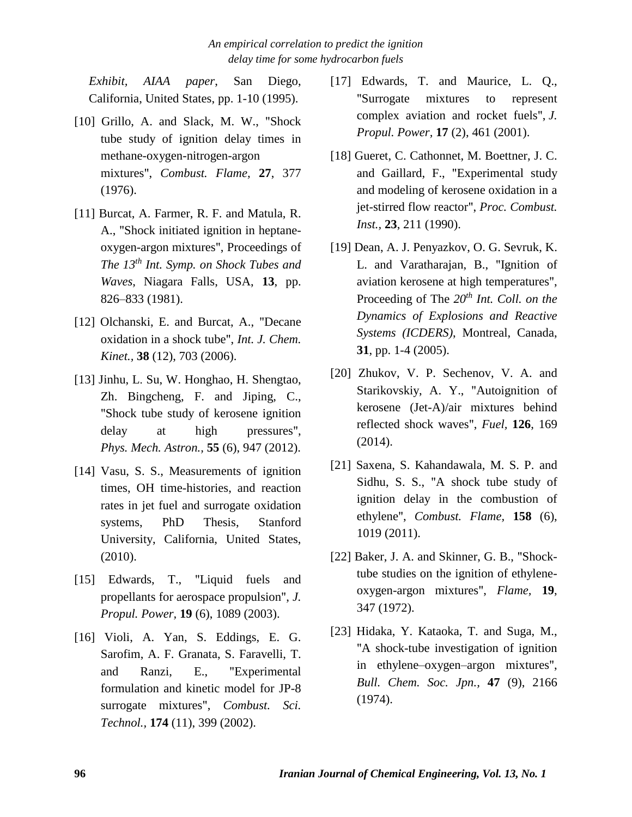*Exhibit, AIAA paper*, San Diego, California, United States, pp. 1-10 (1995).

- [10] Grillo, A. and Slack, M. W., "Shock tube study of ignition delay times in methane-oxygen-nitrogen-argon mixtures", *Combust. Flame,* **27**, 377 (1976).
- [11] Burcat, A. Farmer, R. F. and Matula, R. A., "Shock initiated ignition in heptaneoxygen-argon mixtures", Proceedings of *The 13th Int. Symp. on Shock Tubes and Waves*, Niagara Falls, USA, **13**, pp. 826–833 (1981).
- [12] Olchanski, E. and Burcat, A., "Decane oxidation in a shock tube", *Int. J. Chem. Kinet.,* **38** (12), 703 (2006).
- [13] Jinhu, L. Su, W. Honghao, H. Shengtao, Zh. Bingcheng, F. and Jiping, C., "Shock tube study of kerosene ignition delay at high pressures", *Phys. Mech. Astron.,* **55** (6), 947 (2012).
- [14] Vasu, S. S., Measurements of ignition times, OH time-histories, and reaction rates in jet fuel and surrogate oxidation systems, PhD Thesis, Stanford University, California, United States, (2010).
- [15] Edwards, T., "Liquid fuels and propellants for aerospace propulsion", *J. Propul. Power,* **19** (6), 1089 (2003).
- [16] Violi, A. Yan, S. Eddings, E. G. Sarofim, A. F. Granata, S. Faravelli, T. and Ranzi, E., "Experimental formulation and kinetic model for JP-8 surrogate mixtures", *Combust. Sci. Technol.,* **174** (11), 399 (2002).
- [17] Edwards, T. and Maurice, L. O., "Surrogate mixtures to represent complex aviation and rocket fuels", *J. Propul. Power,* **17** (2), 461 (2001).
- [18] Gueret, C. Cathonnet, M. Boettner, J. C. and Gaillard, F., "Experimental study and modeling of kerosene oxidation in a jet-stirred flow reactor", *[Proc. Combust.](http://www.sciencedirect.com/science/journal/15407489) [Inst.,](http://www.sciencedirect.com/science/journal/15407489)* **23**, 211 (1990).
- [19] Dean, A. J. Penyazkov, O. G. Sevruk, K. L. and Varatharajan, B., "Ignition of aviation kerosene at high temperatures", Proceeding of The *20th Int. Coll. on the Dynamics of Explosions and Reactive Systems (ICDERS)*, Montreal, Canada, **31**, pp. 1-4 (2005).
- [20] Zhukov, V. P. Sechenov, V. A. and Starikovskiy, A. Y., "Autoignition of kerosene (Jet-A)/air mixtures behind reflected shock waves", *Fuel,* **126**, 169 (2014).
- [21] Saxena, S. Kahandawala, M. S. P. and Sidhu, S. S., "A shock tube study of ignition delay in the combustion of ethylene", *Combust. Flame,* **158** (6), 1019 (2011).
- [22] Baker, J. A. and Skinner, G. B., "Shocktube studies on the ignition of ethyleneoxygen-argon mixtures", *Flame,* **19**, 347 (1972).
- [23] Hidaka, Y. Kataoka, T. and Suga, M., ["A shock-tube investigation of ignition](https://www.jstage.jst.go.jp/A_PRedirectJournalInit?sryCd=bcsj1926&noVol=47&noIssue=9&kijiCd=47_9_2166&screenID=AF06S010)  [in ethylene–oxygen–argon mixtures"](https://www.jstage.jst.go.jp/A_PRedirectJournalInit?sryCd=bcsj1926&noVol=47&noIssue=9&kijiCd=47_9_2166&screenID=AF06S010), *Bull. Chem. Soc. Jpn.,* **47** (9), 2166 (1974).